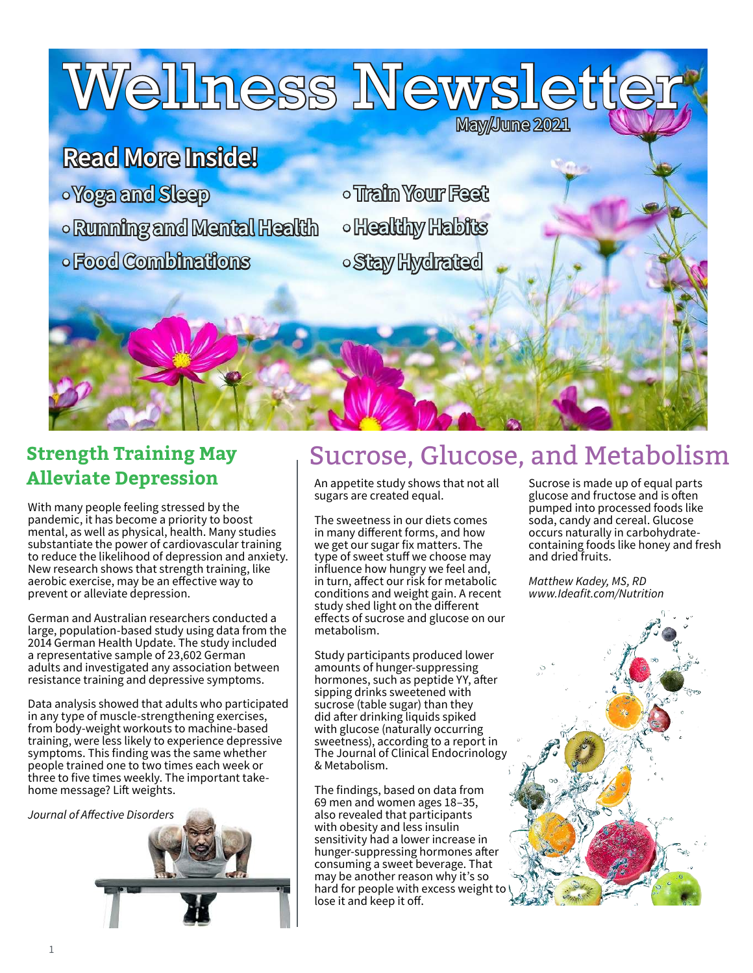Wellness Newslett

# **Read More Inside!**

- **• Yoga and Sleep**
- **•Running and Mental Health unning**
- **• Food Combinations**
- **• Train Your Feet rain**
- **•Healthy Habits ealthy**
- **• Stay Hydrated**

# **Alleviate Depression**

With many people feeling stressed by the pandemic, it has become a priority to boost mental, as well as physical, health. Many studies substantiate the power of cardiovascular training to reduce the likelihood of depression and anxiety. New research shows that strength training, like aerobic exercise, may be an effective way to prevent or alleviate depression.

German and Australian researchers conducted a large, population-based study using data from the 2014 German Health Update. The study included a representative sample of 23,602 German adults and investigated any association between resistance training and depressive symptoms.

Data analysis showed that adults who participated in any type of muscle-strengthening exercises, from body-weight workouts to machine-based training, were less likely to experience depressive symptoms. This finding was the same whether people trained one to two times each week or three to five times weekly. The important takehome message? Lift weights.



## **Strength Training May Exertle Glucose, Sucrose, and Metabolism**

**May/June 2021** 

An appetite study shows that not all sugars are created equal.

The sweetness in our diets comes in many different forms, and how we get our sugar fix matters. The type of sweet stuff we choose may influence how hungry we feel and, in turn, affect our risk for metabolic conditions and weight gain. A recent study shed light on the different effects of sucrose and glucose on our metabolism.

Study participants produced lower amounts of hunger-suppressing hormones, such as peptide YY, after sipping drinks sweetened with sucrose (table sugar) than they did after drinking liquids spiked with glucose (naturally occurring sweetness), according to a report in The Journal of Clinical Endocrinology & Metabolism.

The findings, based on data from 69 men and women ages 18–35, also revealed that participants with obesity and less insulin sensitivity had a lower increase in hunger-suppressing hormones after consuming a sweet beverage. That may be another reason why it's so hard for people with excess weight to lose it and keep it off.

Sucrose is made up of equal parts glucose and fructose and is often pumped into processed foods like soda, candy and cereal. Glucose occurs naturally in carbohydratecontaining foods like honey and fresh and dried fruits.

Matthew Kadey, MS, RD www.Ideafit.com/Nutrition

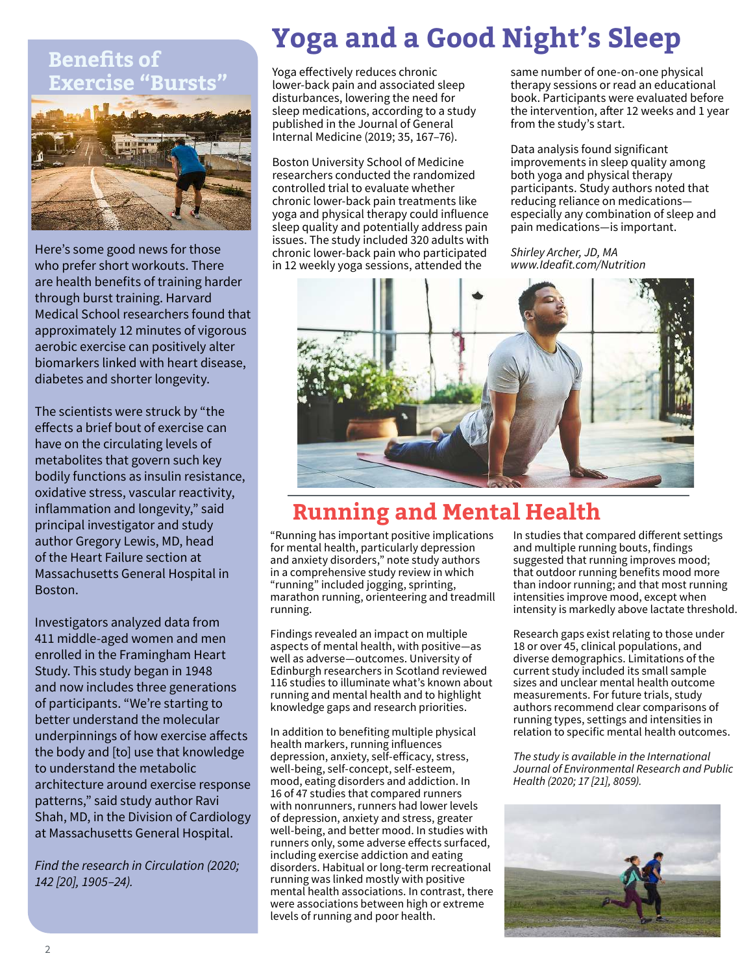#### **Benefits of Exercise "Bursts"**



Here's some good news for those who prefer short workouts. There are health benefits of training harder through burst training. Harvard Medical School researchers found that approximately 12 minutes of vigorous aerobic exercise can positively alter biomarkers linked with heart disease, diabetes and shorter longevity.

The scientists were struck by "the effects a brief bout of exercise can have on the circulating levels of metabolites that govern such key bodily functions as insulin resistance, oxidative stress, vascular reactivity, inflammation and longevity," said principal investigator and study author Gregory Lewis, MD, head of the Heart Failure section at Massachusetts General Hospital in Boston.

Investigators analyzed data from 411 middle-aged women and men enrolled in the Framingham Heart Study. This study began in 1948 and now includes three generations of participants. "We're starting to better understand the molecular underpinnings of how exercise affects the body and [to] use that knowledge to understand the metabolic architecture around exercise response patterns," said study author Ravi Shah, MD, in the Division of Cardiology at Massachusetts General Hospital.

Find the research in Circulation (2020; 142 [20], 1905–24).

# **Yoga and a Good Night's Sleep**

Yoga effectively reduces chronic lower-back pain and associated sleep disturbances, lowering the need for sleep medications, according to a study published in the Journal of General Internal Medicine (2019; 35, 167–76).

Boston University School of Medicine researchers conducted the randomized controlled trial to evaluate whether chronic lower-back pain treatments like yoga and physical therapy could influence sleep quality and potentially address pain issues. The study included 320 adults with chronic lower-back pain who participated in 12 weekly yoga sessions, attended the

same number of one-on-one physical therapy sessions or read an educational book. Participants were evaluated before the intervention, after 12 weeks and 1 year from the study's start.

Data analysis found significant improvements in sleep quality among both yoga and physical therapy participants. Study authors noted that reducing reliance on medications especially any combination of sleep and pain medications—is important.

Shirley Archer, JD, MA www.Ideafit.com/Nutrition



## **Running and Mental Health**

"Running has important positive implications for mental health, particularly depression and anxiety disorders," note study authors in a comprehensive study review in which "running" included jogging, sprinting, marathon running, orienteering and treadmill running.

Findings revealed an impact on multiple aspects of mental health, with positive—as well as adverse—outcomes. University of Edinburgh researchers in Scotland reviewed 116 studies to illuminate what's known about running and mental health and to highlight knowledge gaps and research priorities.

In addition to benefiting multiple physical health markers, running influences depression, anxiety, self-efficacy, stress, well-being, self-concept, self-esteem, mood, eating disorders and addiction. In 16 of 47 studies that compared runners with nonrunners, runners had lower levels of depression, anxiety and stress, greater well-being, and better mood. In studies with runners only, some adverse effects surfaced, including exercise addiction and eating disorders. Habitual or long-term recreational running was linked mostly with positive mental health associations. In contrast, there were associations between high or extreme levels of running and poor health.

In studies that compared different settings and multiple running bouts, findings suggested that running improves mood; that outdoor running benefits mood more than indoor running; and that most running intensities improve mood, except when intensity is markedly above lactate threshold.

Research gaps exist relating to those under 18 or over 45, clinical populations, and diverse demographics. Limitations of the current study included its small sample sizes and unclear mental health outcome measurements. For future trials, study authors recommend clear comparisons of running types, settings and intensities in relation to specific mental health outcomes.

The study is available in the International Journal of Environmental Research and Public Health (2020; 17 [21], 8059).

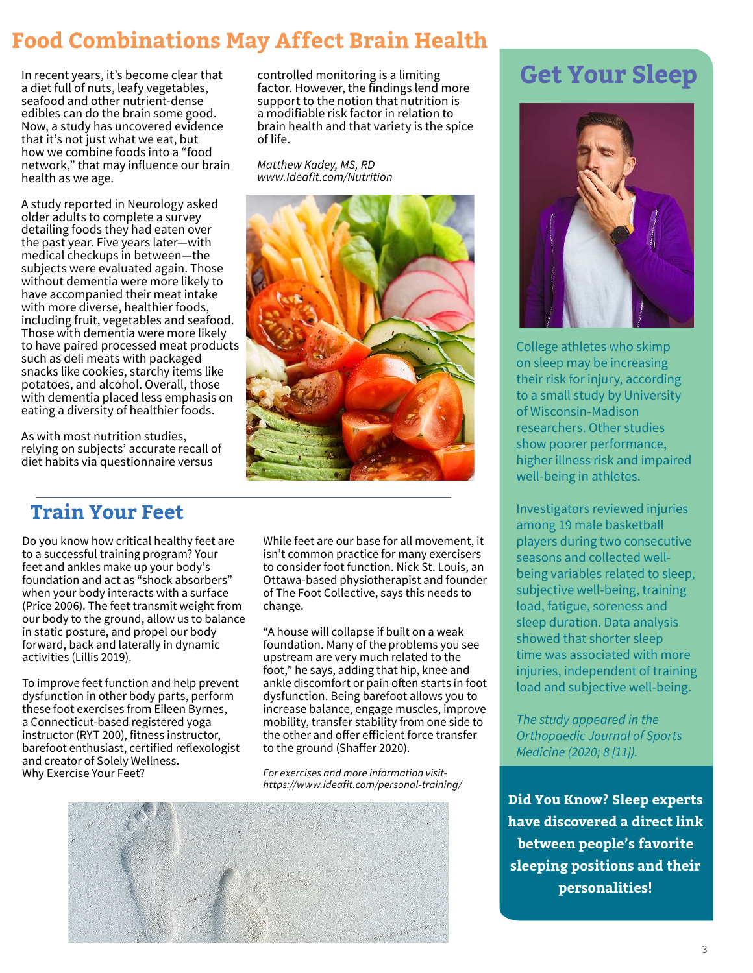## **Food Combinations May Affect Brain Health**

In recent years, it's become clear that a diet full of nuts, leafy vegetables, seafood and other nutrient-dense edibles can do the brain some good. Now, a study has uncovered evidence that it's not just what we eat, but how we combine foods into a "food network," that may influence our brain health as we age.

A study reported in Neurology asked older adults to complete a survey detailing foods they had eaten over the past year. Five years later—with medical checkups in between—the subjects were evaluated again. Those without dementia were more likely to have accompanied their meat intake with more diverse, healthier foods, including fruit, vegetables and seafood. Those with dementia were more likely to have paired processed meat products such as deli meats with packaged snacks like cookies, starchy items like potatoes, and alcohol. Overall, those with dementia placed less emphasis on eating a diversity of healthier foods.

As with most nutrition studies, relying on subjects' accurate recall of diet habits via questionnaire versus

**Train Your Feet**

Do you know how critical healthy feet are to a successful training program? Your feet and ankles make up your body's foundation and act as "shock absorbers" when your body interacts with a surface (Price 2006). The feet transmit weight from our body to the ground, allow us to balance in static posture, and propel our body forward, back and laterally in dynamic activities (Lillis 2019).

To improve feet function and help prevent dysfunction in other body parts, perform these foot exercises from Eileen Byrnes, a Connecticut-based registered yoga instructor (RYT 200), fitness instructor, barefoot enthusiast, certified reflexologist and creator of Solely Wellness. Why Exercise Your Feet?

controlled monitoring is a limiting factor. However, the findings lend more support to the notion that nutrition is a modifiable risk factor in relation to brain health and that variety is the spice of life.

Matthew Kadey, MS, RD www.Ideafit.com/Nutrition



**Get Your Sleep** 



College athletes who skimp on sleep may be increasing their risk for injury, according to a small study by University of Wisconsin-Madison researchers. Other studies show poorer performance, higher illness risk and impaired well-being in athletes.

Investigators reviewed injuries among 19 male basketball players during two consecutive seasons and collected wellbeing variables related to sleep, subjective well-being, training load, fatigue, soreness and sleep duration. Data analysis showed that shorter sleep time was associated with more injuries, independent of training load and subjective well-being.

The study appeared in the Orthopaedic Journal of Sports Medicine (2020; 8 [11]).

**Did You Know? Sleep experts have discovered a direct link between people's favorite sleeping positions and their personalities!**

While feet are our base for all movement, it isn't common practice for many exercisers to consider foot function. Nick St. Louis, an Ottawa-based physiotherapist and founder of The Foot Collective, says this needs to change.

"A house will collapse if built on a weak foundation. Many of the problems you see upstream are very much related to the foot," he says, adding that hip, knee and ankle discomfort or pain often starts in foot dysfunction. Being barefoot allows you to increase balance, engage muscles, improve mobility, transfer stability from one side to the other and offer efficient force transfer to the ground (Shaffer 2020).

For exercises and more information visithttps://www.ideafit.com/personal-training/